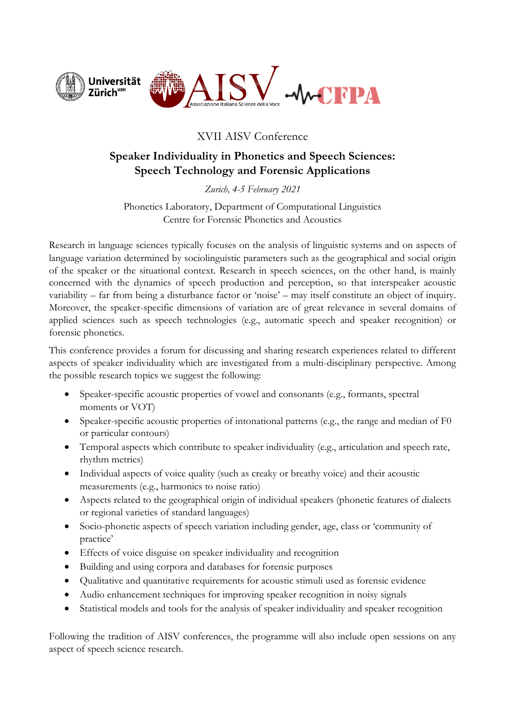

## XVII AISV Conference

# **Speaker Individuality in Phonetics and Speech Sciences: Speech Technology and Forensic Applications**

*Zurich, 4-5 February 2021*

Phonetics Laboratory, Department of Computational Linguistics Centre for Forensic Phonetics and Acoustics

Research in language sciences typically focuses on the analysis of linguistic systems and on aspects of language variation determined by sociolinguistic parameters such as the geographical and social origin of the speaker or the situational context. Research in speech sciences, on the other hand, is mainly concerned with the dynamics of speech production and perception, so that interspeaker acoustic variability – far from being a disturbance factor or 'noise' – may itself constitute an object of inquiry. Moreover, the speaker-specific dimensions of variation are of great relevance in several domains of applied sciences such as speech technologies (e.g., automatic speech and speaker recognition) or forensic phonetics.

This conference provides a forum for discussing and sharing research experiences related to different aspects of speaker individuality which are investigated from a multi-disciplinary perspective. Among the possible research topics we suggest the following:

- Speaker-specific acoustic properties of vowel and consonants (e.g., formants, spectral moments or VOT)
- Speaker-specific acoustic properties of intonational patterns (e.g., the range and median of F0 or particular contours)
- Temporal aspects which contribute to speaker individuality (e.g., articulation and speech rate, rhythm metrics)
- Individual aspects of voice quality (such as creaky or breathy voice) and their acoustic measurements (e.g., harmonics to noise ratio)
- Aspects related to the geographical origin of individual speakers (phonetic features of dialects or regional varieties of standard languages)
- Socio-phonetic aspects of speech variation including gender, age, class or 'community of practice'
- Effects of voice disguise on speaker individuality and recognition
- Building and using corpora and databases for forensic purposes
- Qualitative and quantitative requirements for acoustic stimuli used as forensic evidence
- Audio enhancement techniques for improving speaker recognition in noisy signals
- Statistical models and tools for the analysis of speaker individuality and speaker recognition

Following the tradition of AISV conferences, the programme will also include open sessions on any aspect of speech science research.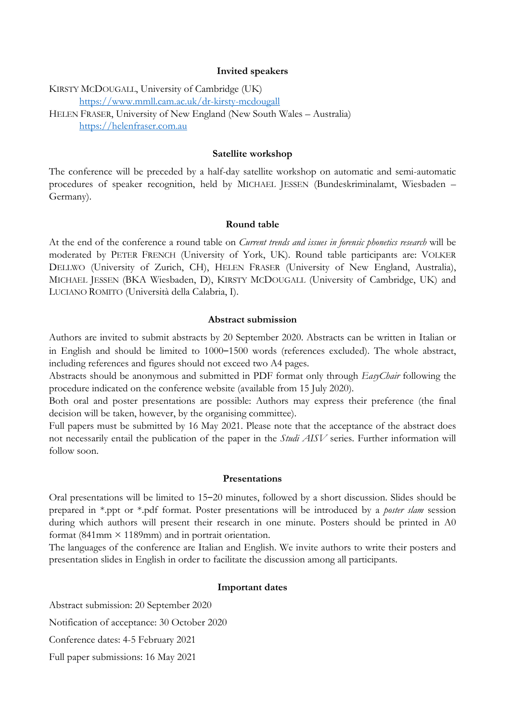#### **Invited speakers**

KIRSTY MCDOUGALL, University of Cambridge (UK) https://www.mmll.cam.ac.uk/dr-kirsty-mcdougall HELEN FRASER, University of New England (New South Wales – Australia) https://helenfraser.com.au

### **Satellite workshop**

The conference will be preceded by a half-day satellite workshop on automatic and semi-automatic procedures of speaker recognition, held by MICHAEL JESSEN (Bundeskriminalamt, Wiesbaden – Germany).

#### **Round table**

At the end of the conference a round table on *Current trends and issues in forensic phonetics research* will be moderated by PETER FRENCH (University of York, UK). Round table participants are: VOLKER DELLWO (University of Zurich, CH), HELEN FRASER (University of New England, Australia), MICHAEL JESSEN (BKA Wiesbaden, D), KIRSTY MCDOUGALL (University of Cambridge, UK) and LUCIANO ROMITO (Università della Calabria, I).

#### **Abstract submission**

Authors are invited to submit abstracts by 20 September 2020. Abstracts can be written in Italian or in English and should be limited to 1000-1500 words (references excluded). The whole abstract, including references and figures should not exceed two A4 pages.

Abstracts should be anonymous and submitted in PDF format only through *EasyChair* following the procedure indicated on the conference website (available from 15 July 2020).

Both oral and poster presentations are possible: Authors may express their preference (the final decision will be taken, however, by the organising committee).

Full papers must be submitted by 16 May 2021. Please note that the acceptance of the abstract does not necessarily entail the publication of the paper in the *Studi AISV* series. Further information will follow soon.

#### **Presentations**

Oral presentations will be limited to 15–20 minutes, followed by a short discussion. Slides should be prepared in \*.ppt or \*.pdf format. Poster presentations will be introduced by a *poster slam* session during which authors will present their research in one minute. Posters should be printed in A0 format (841mm  $\times$  1189mm) and in portrait orientation.

The languages of the conference are Italian and English. We invite authors to write their posters and presentation slides in English in order to facilitate the discussion among all participants.

#### **Important dates**

Abstract submission: 20 September 2020

Notification of acceptance: 30 October 2020

Conference dates: 4-5 February 2021

Full paper submissions: 16 May 2021